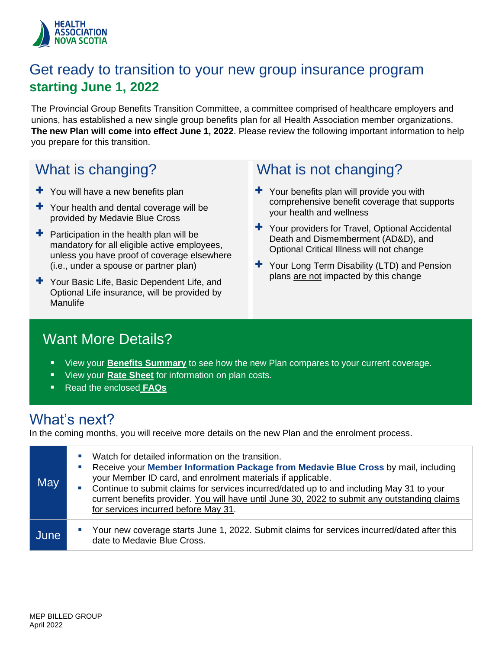

### Get ready to transition to your new group insurance program **starting June 1, 2022**

The Provincial Group Benefits Transition Committee, a committee comprised of healthcare employers and unions, has established a new single group benefits plan for all Health Association member organizations. **The new Plan will come into effect June 1, 2022**. Please review the following important information to help you prepare for this transition.

### What is changing?

- $+$  You will have a new benefits plan
- + Your health and dental coverage will be provided by Medavie Blue Cross
- $\pm$  Participation in the health plan will be mandatory for all eligible active employees, unless you have proof of coverage elsewhere (i.e., under a spouse or partner plan)
- + Your Basic Life, Basic Dependent Life, and Optional Life insurance, will be provided by Manulife

### What is not changing?

- $\pm$  Your benefits plan will provide you with comprehensive benefit coverage that supports your health and wellness
- + Your providers for Travel, Optional Accidental Death and Dismemberment (AD&D), and Optional Critical Illness will not change
- + Your Long Term Disability (LTD) and Pension plans are not impacted by this change

### Want More Details?

- View your **[Benefits Summ](#page-2-0)ary** to see how the new Plan compares to your current coverage.
- View your **[Rate Sheet](#page-8-0)** for information on plan costs.
- Read the enclosed **[FAQs](#page-1-0)**

### What's next?

In the coming months, you will receive more details on the new Plan and the enrolment process.

| May  | Watch for detailed information on the transition.<br>ш<br>Receive your Member Information Package from Medavie Blue Cross by mail, including<br>ш<br>your Member ID card, and enrolment materials if applicable.<br>Continue to submit claims for services incurred/dated up to and including May 31 to your<br><b>I</b><br>current benefits provider. You will have until June 30, 2022 to submit any outstanding claims<br>for services incurred before May 31. |
|------|-------------------------------------------------------------------------------------------------------------------------------------------------------------------------------------------------------------------------------------------------------------------------------------------------------------------------------------------------------------------------------------------------------------------------------------------------------------------|
| June | Your new coverage starts June 1, 2022. Submit claims for services incurred/dated after this<br>$\blacksquare$<br>date to Medavie Blue Cross.                                                                                                                                                                                                                                                                                                                      |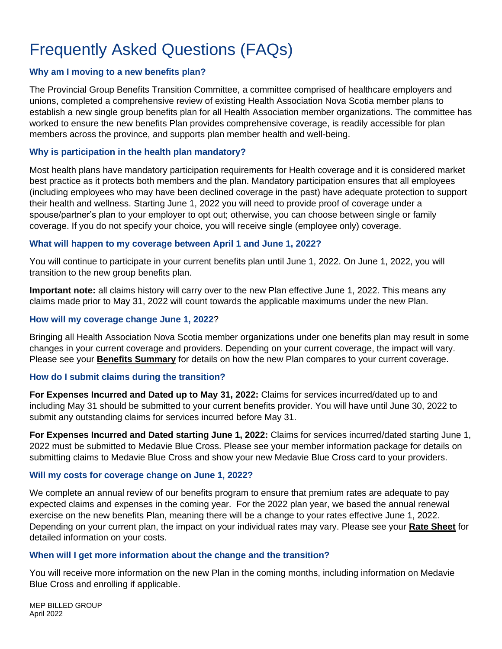# <span id="page-1-0"></span>Frequently Asked Questions (FAQs)

#### **Why am I moving to a new benefits plan?**

The Provincial Group Benefits Transition Committee, a committee comprised of healthcare employers and unions, completed a comprehensive review of existing Health Association Nova Scotia member plans to establish a new single group benefits plan for all Health Association member organizations. The committee has worked to ensure the new benefits Plan provides comprehensive coverage, is readily accessible for plan members across the province, and supports plan member health and well-being.

#### **Why is participation in the health plan mandatory?**

Most health plans have mandatory participation requirements for Health coverage and it is considered market best practice as it protects both members and the plan. Mandatory participation ensures that all employees (including employees who may have been declined coverage in the past) have adequate protection to support their health and wellness. Starting June 1, 2022 you will need to provide proof of coverage under a spouse/partner's plan to your employer to opt out; otherwise, you can choose between single or family coverage. If you do not specify your choice, you will receive single (employee only) coverage.

#### **What will happen to my coverage between April 1 and June 1, 2022?**

You will continue to participate in your current benefits plan until June 1, 2022. On June 1, 2022, you will transition to the new group benefits plan.

**Important note:** all claims history will carry over to the new Plan effective June 1, 2022. This means any claims made prior to May 31, 2022 will count towards the applicable maximums under the new Plan.

#### **How will my coverage change June 1, 2022**?

Bringing all Health Association Nova Scotia member organizations under one benefits plan may result in some changes in your current coverage and providers. Depending on your current coverage, the impact will vary. Please see your **[Benefits Summ](#page-2-0)ary** for details on how the new Plan compares to your current coverage.

#### **How do I submit claims during the transition?**

**For Expenses Incurred and Dated up to May 31, 2022:** Claims for services incurred/dated up to and including May 31 should be submitted to your current benefits provider. You will have until June 30, 2022 to submit any outstanding claims for services incurred before May 31.

**For Expenses Incurred and Dated starting June 1, 2022:** Claims for services incurred/dated starting June 1, 2022 must be submitted to Medavie Blue Cross. Please see your member information package for details on submitting claims to Medavie Blue Cross and show your new Medavie Blue Cross card to your providers.

#### **Will my costs for coverage change on June 1, 2022?**

We complete an annual review of our benefits program to ensure that premium rates are adequate to pay expected claims and expenses in the coming year. For the 2022 plan year, we based the annual renewal exercise on the new benefits Plan, meaning there will be a change to your rates effective June 1, 2022. Depending on your current plan, the impact on your individual rates may vary. Please see your **[Rate Sheet](#page-8-0)** for detailed information on your costs.

#### **When will I get more information about the change and the transition?**

You will receive more information on the new Plan in the coming months, including information on Medavie Blue Cross and enrolling if applicable.

MEP BILLED GROUP April 2022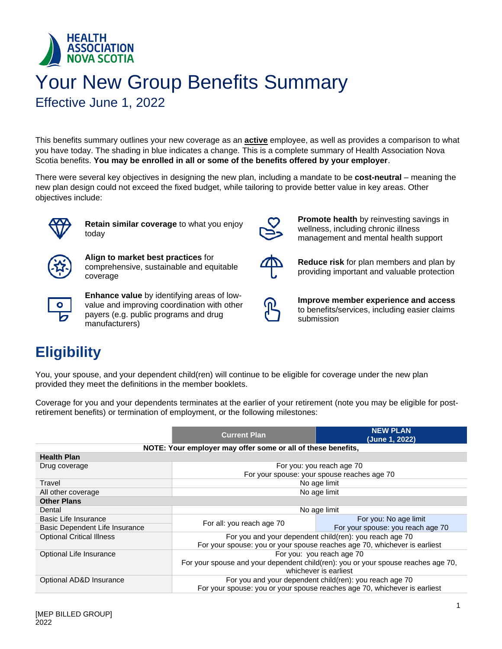<span id="page-2-0"></span>

# Your New Group Benefits Summary

Effective June 1, 2022

This benefits summary outlines your new coverage as an **active** employee, as well as provides a comparison to what you have today. The shading in blue indicates a change. This is a complete summary of Health Association Nova Scotia benefits. **You may be enrolled in all or some of the benefits offered by your employer**.

There were several key objectives in designing the new plan, including a mandate to be **cost-neutral** – meaning the new plan design could not exceed the fixed budget, while tailoring to provide better value in key areas. Other objectives include:



**Retain similar coverage** to what you enjoy today



**Align to market best practices** for comprehensive, sustainable and equitable coverage



**Enhance value** by identifying areas of lowvalue and improving coordination with other payers (e.g. public programs and drug manufacturers)



**Promote health** by reinvesting savings in wellness, including chronic illness management and mental health support



**Reduce risk** for plan members and plan by providing important and valuable protection



**Improve member experience and access** to benefits/services, including easier claims submission

### **Eligibility**

You, your spouse, and your dependent child(ren) will continue to be eligible for coverage under the new plan provided they meet the definitions in the member booklets.

Coverage for you and your dependents terminates at the earlier of your retirement (note you may be eligible for postretirement benefits) or termination of employment, or the following milestones:

|                                  | <b>Current Plan</b>                                                               | <b>NEW PLAN</b><br>(June 1, 2022)                       |  |
|----------------------------------|-----------------------------------------------------------------------------------|---------------------------------------------------------|--|
|                                  | NOTE: Your employer may offer some or all of these benefits,                      |                                                         |  |
| <b>Health Plan</b>               |                                                                                   |                                                         |  |
| Drug coverage                    |                                                                                   | For you: you reach age 70                               |  |
|                                  |                                                                                   | For your spouse: your spouse reaches age 70             |  |
| Travel                           |                                                                                   | No age limit                                            |  |
| All other coverage               |                                                                                   | No age limit                                            |  |
| <b>Other Plans</b>               |                                                                                   |                                                         |  |
| Dental                           |                                                                                   | No age limit                                            |  |
| Basic Life Insurance             | For all: you reach age 70                                                         | For you: No age limit                                   |  |
| Basic Dependent Life Insurance   |                                                                                   | For your spouse: you reach age 70                       |  |
| <b>Optional Critical Illness</b> | For you and your dependent child(ren): you reach age 70                           |                                                         |  |
|                                  | For your spouse: you or your spouse reaches age 70, whichever is earliest         |                                                         |  |
| Optional Life Insurance          | For you: you reach age 70                                                         |                                                         |  |
|                                  | For your spouse and your dependent child(ren): you or your spouse reaches age 70, |                                                         |  |
| whichever is earliest            |                                                                                   |                                                         |  |
| Optional AD&D Insurance          |                                                                                   | For you and your dependent child(ren): you reach age 70 |  |
|                                  | For your spouse: you or your spouse reaches age 70, whichever is earliest         |                                                         |  |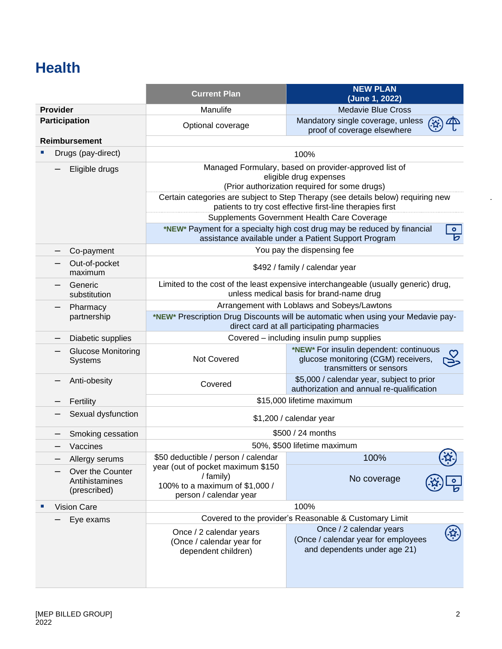### **Health**

|                      |                                                    | <b>Current Plan</b>                                                                                                              | <b>NEW PLAN</b><br>(June 1, 2022)                                                                                                             |  |
|----------------------|----------------------------------------------------|----------------------------------------------------------------------------------------------------------------------------------|-----------------------------------------------------------------------------------------------------------------------------------------------|--|
| <b>Provider</b>      |                                                    | Manulife                                                                                                                         | <b>Medavie Blue Cross</b>                                                                                                                     |  |
| <b>Participation</b> |                                                    | Optional coverage                                                                                                                | Mandatory single coverage, unless<br>proof of coverage elsewhere                                                                              |  |
|                      | <b>Reimbursement</b>                               |                                                                                                                                  |                                                                                                                                               |  |
|                      | Drugs (pay-direct)                                 |                                                                                                                                  | 100%                                                                                                                                          |  |
|                      | Eligible drugs                                     | Managed Formulary, based on provider-approved list of<br>eligible drug expenses<br>(Prior authorization required for some drugs) |                                                                                                                                               |  |
|                      |                                                    |                                                                                                                                  | Certain categories are subject to Step Therapy (see details below) requiring new<br>patients to try cost effective first-line therapies first |  |
|                      |                                                    |                                                                                                                                  | Supplements Government Health Care Coverage                                                                                                   |  |
|                      |                                                    |                                                                                                                                  | *NEW* Payment for a specialty high cost drug may be reduced by financial<br>$\bullet$<br>assistance available under a Patient Support Program |  |
|                      | Co-payment                                         |                                                                                                                                  | You pay the dispensing fee                                                                                                                    |  |
|                      | Out-of-pocket<br>maximum                           |                                                                                                                                  | \$492 / family / calendar year                                                                                                                |  |
|                      | Generic<br>substitution                            |                                                                                                                                  | Limited to the cost of the least expensive interchangeable (usually generic) drug,<br>unless medical basis for brand-name drug                |  |
|                      | Pharmacy                                           | Arrangement with Loblaws and Sobeys/Lawtons                                                                                      |                                                                                                                                               |  |
| partnership          |                                                    | *NEW* Prescription Drug Discounts will be automatic when using your Medavie pay-<br>direct card at all participating pharmacies  |                                                                                                                                               |  |
|                      | Diabetic supplies                                  | Covered - including insulin pump supplies                                                                                        |                                                                                                                                               |  |
|                      | <b>Glucose Monitoring</b><br>Systems               | Not Covered                                                                                                                      | *NEW* For insulin dependent: continuous<br>glucose monitoring (CGM) receivers,<br>ح∈<br>transmitters or sensors                               |  |
|                      | Anti-obesity                                       | \$5,000 / calendar year, subject to prior<br>Covered<br>authorization and annual re-qualification                                |                                                                                                                                               |  |
|                      | Fertility                                          | \$15,000 lifetime maximum                                                                                                        |                                                                                                                                               |  |
|                      | Sexual dysfunction                                 |                                                                                                                                  | \$1,200 / calendar year                                                                                                                       |  |
|                      | Smoking cessation                                  |                                                                                                                                  | \$500 / 24 months                                                                                                                             |  |
|                      | Vaccines                                           |                                                                                                                                  | 50%, \$500 lifetime maximum                                                                                                                   |  |
|                      | Allergy serums                                     | \$50 deductible / person / calendar                                                                                              | 100%                                                                                                                                          |  |
|                      | Over the Counter<br>Antihistamines<br>(prescribed) | year (out of pocket maximum \$150<br>/ family)<br>100% to a maximum of \$1,000 /<br>person / calendar year                       | No coverage                                                                                                                                   |  |
|                      | <b>Vision Care</b>                                 | 100%                                                                                                                             |                                                                                                                                               |  |
|                      | Eye exams                                          | Covered to the provider's Reasonable & Customary Limit                                                                           |                                                                                                                                               |  |
|                      |                                                    | Once / 2 calendar years<br>(Once / calendar year for<br>dependent children)                                                      | Once / 2 calendar years<br>(Once / calendar year for employees<br>and dependents under age 21)                                                |  |

.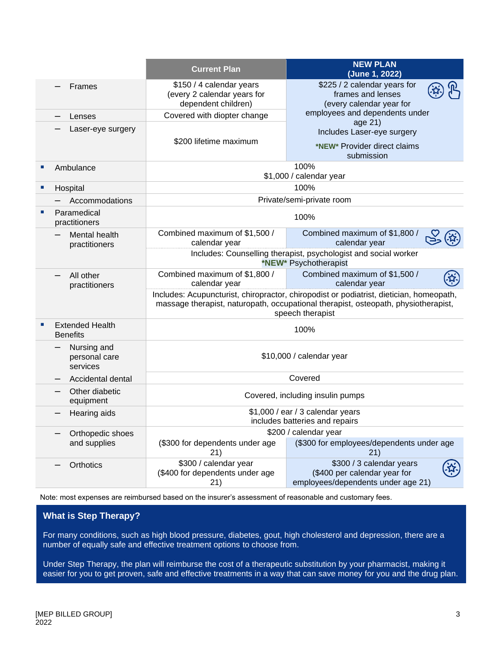|   |                                           | <b>Current Plan</b>                                                                                                                                                                               | <b>NEW PLAN</b><br>(June 1, 2022)                                                              |
|---|-------------------------------------------|---------------------------------------------------------------------------------------------------------------------------------------------------------------------------------------------------|------------------------------------------------------------------------------------------------|
|   | Frames                                    | \$150 / 4 calendar years<br>(every 2 calendar years for<br>dependent children)                                                                                                                    | \$225 / 2 calendar years for<br>frames and lenses<br>(every calendar year for                  |
|   | Lenses                                    | Covered with diopter change                                                                                                                                                                       | employees and dependents under                                                                 |
|   | Laser-eye surgery                         | \$200 lifetime maximum                                                                                                                                                                            | age 21)<br>Includes Laser-eye surgery<br>*NEW* Provider direct claims<br>submission            |
| п | Ambulance                                 |                                                                                                                                                                                                   | 100%<br>\$1,000 / calendar year                                                                |
|   | Hospital                                  |                                                                                                                                                                                                   | 100%                                                                                           |
|   | Accommodations                            |                                                                                                                                                                                                   | Private/semi-private room                                                                      |
|   | Paramedical<br>practitioners              |                                                                                                                                                                                                   | 100%                                                                                           |
|   | Mental health<br>practitioners            | Combined maximum of \$1,500 /<br>calendar year                                                                                                                                                    | Combined maximum of \$1,800 /<br>calendar year                                                 |
|   |                                           | Includes: Counselling therapist, psychologist and social worker<br>*NEW* Psychotherapist                                                                                                          |                                                                                                |
|   | All other<br>practitioners                | Combined maximum of \$1,800 /<br>calendar year                                                                                                                                                    | Combined maximum of \$1,500 /<br>calendar year                                                 |
|   |                                           | Includes: Acupuncturist, chiropractor, chiropodist or podiatrist, dietician, homeopath,<br>massage therapist, naturopath, occupational therapist, osteopath, physiotherapist,<br>speech therapist |                                                                                                |
| ٠ | <b>Extended Health</b><br><b>Benefits</b> | 100%                                                                                                                                                                                              |                                                                                                |
|   | Nursing and<br>personal care<br>services  | \$10,000 / calendar year                                                                                                                                                                          |                                                                                                |
|   | Accidental dental                         | Covered                                                                                                                                                                                           |                                                                                                |
|   | Other diabetic<br>equipment               | Covered, including insulin pumps                                                                                                                                                                  |                                                                                                |
|   | Hearing aids                              | \$1,000 / ear / 3 calendar years<br>includes batteries and repairs                                                                                                                                |                                                                                                |
|   | Orthopedic shoes                          |                                                                                                                                                                                                   | \$200 / calendar year                                                                          |
|   | and supplies                              | (\$300 for dependents under age<br>21)                                                                                                                                                            | (\$300 for employees/dependents under age<br>21)                                               |
|   | Orthotics                                 | \$300 / calendar year<br>(\$400 for dependents under age<br>21)                                                                                                                                   | \$300 / 3 calendar years<br>(\$400 per calendar year for<br>employees/dependents under age 21) |

Note: most expenses are reimbursed based on the insurer's assessment of reasonable and customary fees.

#### **What is Step Therapy?**

For many conditions, such as high blood pressure, diabetes, gout, high cholesterol and depression, there are a number of equally safe and effective treatment options to choose from.

Under Step Therapy, the plan will reimburse the cost of a therapeutic substitution by your pharmacist, making it easier for you to get proven, safe and effective treatments in a way that can save money for you and the drug plan.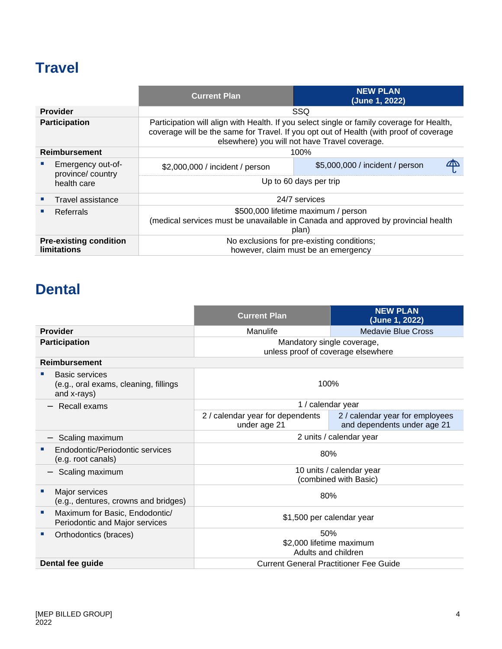### **Travel**

|                                                     |                                       | <b>Current Plan</b>                                                                                                                                                                                                                  | <b>NEW PLAN</b><br>(June 1, 2022) |
|-----------------------------------------------------|---------------------------------------|--------------------------------------------------------------------------------------------------------------------------------------------------------------------------------------------------------------------------------------|-----------------------------------|
|                                                     | <b>Provider</b>                       |                                                                                                                                                                                                                                      | SSQ                               |
| <b>Participation</b>                                |                                       | Participation will align with Health. If you select single or family coverage for Health,<br>coverage will be the same for Travel. If you opt out of Health (with proof of coverage<br>elsewhere) you will not have Travel coverage. |                                   |
|                                                     | <b>Reimbursement</b>                  |                                                                                                                                                                                                                                      | 100%                              |
|                                                     | Emergency out-of-<br>province/country | \$2,000,000 / incident / person                                                                                                                                                                                                      | \$5,000,000 / incident / person   |
|                                                     | health care                           | Up to 60 days per trip                                                                                                                                                                                                               |                                   |
|                                                     | Travel assistance                     | 24/7 services                                                                                                                                                                                                                        |                                   |
|                                                     | Referrals                             | \$500,000 lifetime maximum / person<br>(medical services must be unavailable in Canada and approved by provincial health<br>plan)                                                                                                    |                                   |
| <b>Pre-existing condition</b><br><b>limitations</b> |                                       | No exclusions for pre-existing conditions;<br>however, claim must be an emergency                                                                                                                                                    |                                   |

### **Dental**

|                                                                        | <b>Current Plan</b>                                              | <b>NEW PLAN</b><br>(June 1, 2022)                              |
|------------------------------------------------------------------------|------------------------------------------------------------------|----------------------------------------------------------------|
| <b>Provider</b>                                                        | Manulife                                                         | Medavie Blue Cross                                             |
| <b>Participation</b>                                                   | Mandatory single coverage,<br>unless proof of coverage elsewhere |                                                                |
| <b>Reimbursement</b>                                                   |                                                                  |                                                                |
| Basic services<br>(e.g., oral exams, cleaning, fillings<br>and x-rays) | 100%                                                             |                                                                |
| Recall exams                                                           | 1 / calendar year                                                |                                                                |
|                                                                        | 2 / calendar year for dependents<br>under age 21                 | 2 / calendar year for employees<br>and dependents under age 21 |
| Scaling maximum                                                        | 2 units / calendar year                                          |                                                                |
| Endodontic/Periodontic services<br>(e.g. root canals)                  | 80%                                                              |                                                                |
| Scaling maximum                                                        | 10 units / calendar year<br>(combined with Basic)                |                                                                |
| Major services<br>a.<br>(e.g., dentures, crowns and bridges)           | 80%                                                              |                                                                |
| Maximum for Basic, Endodontic/<br>×<br>Periodontic and Major services  | \$1,500 per calendar year                                        |                                                                |
| Orthodontics (braces)<br>ш                                             | 50%                                                              |                                                                |
|                                                                        | \$2,000 lifetime maximum<br>Adults and children                  |                                                                |
| Dental fee guide                                                       | <b>Current General Practitioner Fee Guide</b>                    |                                                                |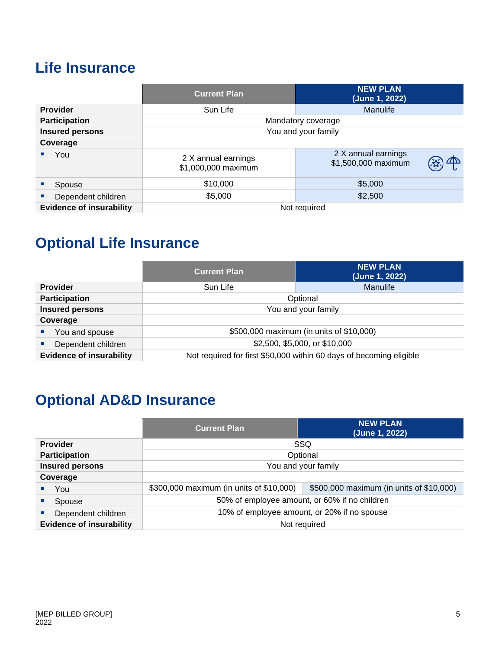### **Life Insurance**

|                                 | <b>Current Plan</b>                        | <b>NEW PLAN</b><br>(June 1, 2022)          |
|---------------------------------|--------------------------------------------|--------------------------------------------|
| <b>Provider</b>                 | Sun Life                                   | Manulife                                   |
| <b>Participation</b>            |                                            | Mandatory coverage                         |
| <b>Insured persons</b>          |                                            | You and your family                        |
| Coverage                        |                                            |                                            |
| You                             | 2 X annual earnings<br>\$1,000,000 maximum | 2 X annual earnings<br>\$1,500,000 maximum |
| Spouse                          | \$10,000                                   | \$5,000                                    |
| Dependent children              | \$5,000                                    | \$2,500                                    |
| <b>Evidence of insurability</b> |                                            | Not required                               |

# **Optional Life Insurance**

|                                 | <b>Current Plan</b>                                                 | <b>NEW PLAN</b><br>(June 1, 2022) |
|---------------------------------|---------------------------------------------------------------------|-----------------------------------|
| <b>Provider</b>                 | Sun Life                                                            | <b>Manulife</b>                   |
| <b>Participation</b>            | Optional                                                            |                                   |
| <b>Insured persons</b>          | You and your family                                                 |                                   |
| Coverage                        |                                                                     |                                   |
| You and spouse                  | \$500,000 maximum (in units of \$10,000)                            |                                   |
| Dependent children              | \$2,500, \$5,000, or \$10,000                                       |                                   |
| <b>Evidence of insurability</b> | Not required for first \$50,000 within 60 days of becoming eligible |                                   |

# **Optional AD&D Insurance**

|                                 | <b>Current Plan</b>                                                                  | <b>NEW PLAN</b><br>(June 1, 2022) |
|---------------------------------|--------------------------------------------------------------------------------------|-----------------------------------|
| <b>Provider</b>                 |                                                                                      | SSQ                               |
| <b>Participation</b>            | Optional                                                                             |                                   |
| <b>Insured persons</b>          | You and your family                                                                  |                                   |
| Coverage                        |                                                                                      |                                   |
| You                             | \$300,000 maximum (in units of \$10,000)<br>\$500,000 maximum (in units of \$10,000) |                                   |
| Spouse                          | 50% of employee amount, or 60% if no children                                        |                                   |
| Dependent children              | 10% of employee amount, or 20% if no spouse                                          |                                   |
| <b>Evidence of insurability</b> | Not required                                                                         |                                   |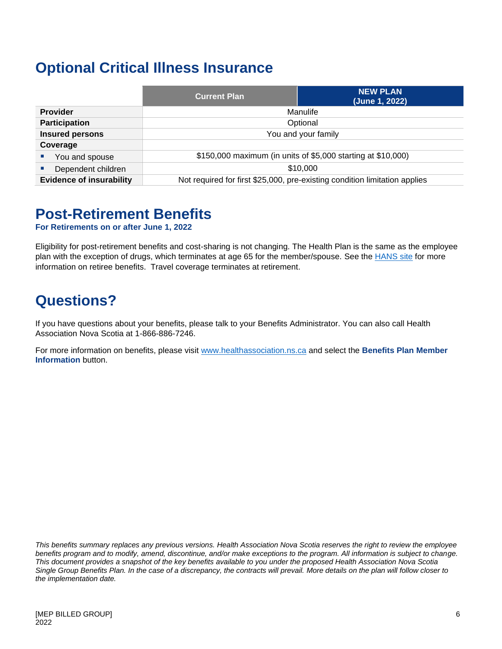### **Optional Critical Illness Insurance**

|                                 | <b>Current Plan</b>                                                        | <b>NEW PLAN</b><br>(June 1, 2022) |
|---------------------------------|----------------------------------------------------------------------------|-----------------------------------|
| <b>Provider</b>                 | Manulife                                                                   |                                   |
| <b>Participation</b>            | Optional                                                                   |                                   |
| <b>Insured persons</b>          | You and your family                                                        |                                   |
| Coverage                        |                                                                            |                                   |
| You and spouse                  | \$150,000 maximum (in units of \$5,000 starting at \$10,000)               |                                   |
| Dependent children              | \$10,000                                                                   |                                   |
| <b>Evidence of insurability</b> | Not required for first \$25,000, pre-existing condition limitation applies |                                   |

#### **Post-Retirement Benefits**

**For Retirements on or after June 1, 2022**

Eligibility for post-retirement benefits and cost-sharing is not changing. The Health Plan is the same as the employee plan with the exception of drugs, which terminates at age 65 for the member/spouse. See the **HANS** site for more information on retiree benefits. Travel coverage terminates at retirement.

### **Questions?**

If you have questions about your benefits, please talk to your Benefits Administrator. You can also call Health Association Nova Scotia at 1-866-886-7246.

For more information on benefits, please visit [www.healthassociation.ns.ca](http://www.healthassociation.ns.ca/) and select the **Benefits Plan Member Information** button.

*This benefits summary replaces any previous versions. Health Association Nova Scotia reserves the right to review the employee benefits program and to modify, amend, discontinue, and/or make exceptions to the program. All information is subject to change. This document provides a snapshot of the key benefits available to you under the proposed Health Association Nova Scotia Single Group Benefits Plan. In the case of a discrepancy, the contracts will prevail. More details on the plan will follow closer to the implementation date.*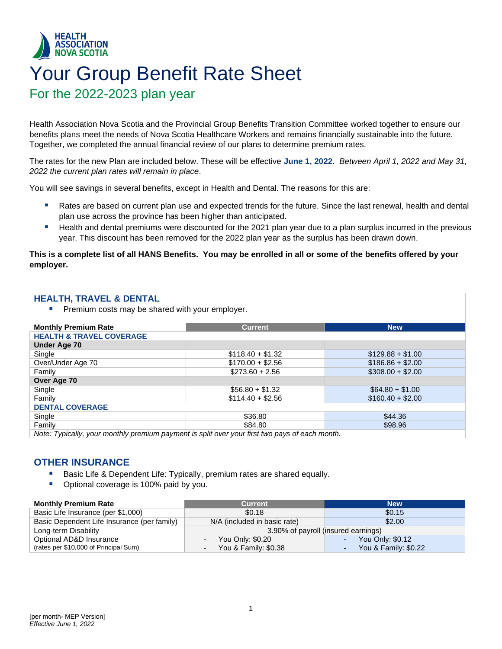#### <span id="page-8-0"></span>**HEALTH ASSOCIATION NOVA SCOTIA** Your Group Benefit Rate Sheet For the 2022-2023 plan year

Health Association Nova Scotia and the Provincial Group Benefits Transition Committee worked together to ensure our benefits plans meet the needs of Nova Scotia Healthcare Workers and remains financially sustainable into the future. Together, we completed the annual financial review of our plans to determine premium rates.

The rates for the new Plan are included below. These will be effective **June 1, 2022**. *Between April 1, 2022 and May 31, 2022 the current plan rates will remain in place*.

You will see savings in several benefits, except in Health and Dental. The reasons for this are:

- Rates are based on current plan use and expected trends for the future. Since the last renewal, health and dental plan use across the province has been higher than anticipated.
- Health and dental premiums were discounted for the 2021 plan year due to a plan surplus incurred in the previous year. This discount has been removed for the 2022 plan year as the surplus has been drawn down.

#### **This is a complete list of all HANS Benefits. You may be enrolled in all or some of the benefits offered by your employer.**

#### **HEALTH, TRAVEL & DENTAL**

**• Premium costs may be shared with your employer.** 

| <b>Monthly Premium Rate</b>                                                                   | <b>Current</b>    | <b>New</b>        |  |
|-----------------------------------------------------------------------------------------------|-------------------|-------------------|--|
| <b>HEALTH &amp; TRAVEL COVERAGE</b>                                                           |                   |                   |  |
| <b>Under Age 70</b>                                                                           |                   |                   |  |
| Single                                                                                        | $$118.40 + $1.32$ | $$129.88 + $1.00$ |  |
| Over/Under Age 70                                                                             | $$170.00 + $2.56$ | $$186.86 + $2.00$ |  |
| Family                                                                                        | $$273.60 + 2.56$  | $$308.00 + $2.00$ |  |
| Over Age 70                                                                                   |                   |                   |  |
| Single                                                                                        | $$56.80 + $1.32$  | $$64.80 + $1.00$  |  |
| Family                                                                                        | $$114.40 + $2.56$ | $$160.40 + $2.00$ |  |
| <b>DENTAL COVERAGE</b>                                                                        |                   |                   |  |
| Single                                                                                        | \$36.80           | \$44.36           |  |
| Family                                                                                        | \$84.80           | \$98.96           |  |
| Note: Typically, your monthly premium payment is split over your first two pays of each month |                   |                   |  |

*Note: Typically, your monthly premium payment is split over your first two pays of each month.* 

#### **OTHER INSURANCE**

- Basic Life & Dependent Life: Typically, premium rates are shared equally.
- Optional coverage is 100% paid by you**.**

| <b>Monthly Premium Rate</b>                 | <b>Current</b>                      | <b>New</b>           |
|---------------------------------------------|-------------------------------------|----------------------|
| Basic Life Insurance (per \$1,000)          | \$0.18                              | \$0.15               |
| Basic Dependent Life Insurance (per family) | N/A (included in basic rate)        | \$2.00               |
| Long-term Disability                        | 3.90% of payroll (insured earnings) |                      |
| Optional AD&D Insurance                     | You Only: \$0.20                    | You Only: \$0.12     |
| (rates per \$10,000 of Principal Sum)       | You & Family: \$0.38                | You & Family: \$0.22 |